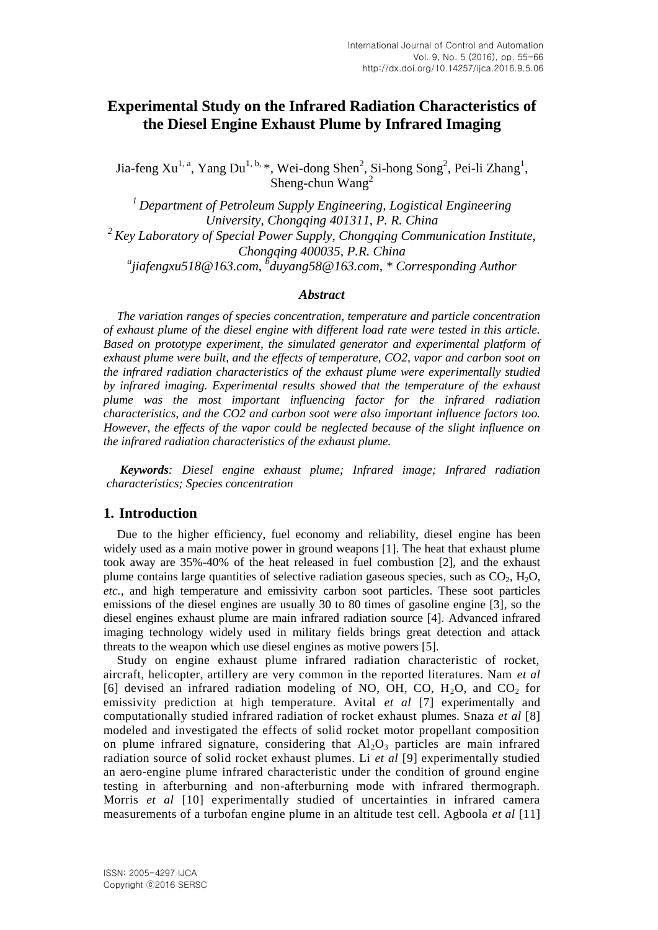# **Experimental Study on the Infrared Radiation Characteristics of the Diesel Engine Exhaust Plume by Infrared Imaging**

Jia-feng Xu<sup>1, a</sup>, Yang Du<sup>1, b,</sup> \*, Wei-dong Shen<sup>2</sup>, Si-hong Song<sup>2</sup>, Pei-li Zhang<sup>1</sup>, Sheng-chun Wang<sup>2</sup>

*<sup>1</sup>Department of Petroleum Supply Engineering, Logistical Engineering University, Chongqing 401311, P. R. China <sup>2</sup>Key Laboratory of Special Power Supply, Chongqing Communication Institute, Chongqing 400035, P.R. China a jiafengxu518@163.com, <sup>b</sup> duyang58@163.com, \* Corresponding Author*

#### *Abstract*

*The variation ranges of species concentration, temperature and particle concentration of exhaust plume of the diesel engine with different load rate were tested in this article. Based on prototype experiment, the simulated generator and experimental platform of exhaust plume were built, and the effects of temperature, CO2, vapor and carbon soot on the infrared radiation characteristics of the exhaust plume were experimentally studied by infrared imaging. Experimental results showed that the temperature of the exhaust plume was the most important influencing factor for the infrared radiation characteristics, and the CO2 and carbon soot were also important influence factors too. However, the effects of the vapor could be neglected because of the slight influence on the infrared radiation characteristics of the exhaust plume.*

*Keywords: Diesel engine exhaust plume; Infrared image; Infrared radiation characteristics; Species concentration*

## **1. Introduction**

Due to the higher efficiency, fuel economy and reliability, diesel engine has been widely used as a main motive power in ground weapons [1]. The heat that exhaust plume took away are 35%-40% of the heat released in fuel combustion [2], and the exhaust plume contains large quantities of selective radiation gaseous species, such as  $CO<sub>2</sub>$ ,  $H<sub>2</sub>O$ , *etc.*, and high temperature and emissivity carbon soot particles. These soot particles emissions of the diesel engines are usually 30 to 80 times of gasoline engine [3], so the diesel engines exhaust plume are main infrared radiation source [4]. Advanced infrared imaging technology widely used in military fields brings great detection and attack threats to the weapon which use diesel engines as motive powers [5].

Study on engine exhaust plume infrared radiation characteristic of rocket, aircraft, helicopter, artillery are very common in the reported literatures. Nam *et al* [6] devised an infrared radiation modeling of NO, OH, CO,  $H_2O$ , and  $CO_2$  for emissivity prediction at high temperature. Avital *et al* [7] experimentally and computationally studied infrared radiation of rocket exhaust plumes. Snaza *et al* [8] modeled and investigated the effects of solid rocket motor propellant composition on plume infrared signature, considering that  $Al_2O_3$  particles are main infrared radiation source of solid rocket exhaust plumes. Li *et al* [9] experimentally studied an aero-engine plume infrared characteristic under the condition of ground engine testing in afterburning and non-afterburning mode with infrared thermograph. Morris *et al* [10] experimentally studied of uncertainties in infrared camera measurements of a turbofan engine plume in an altitude test cell. Agboola *et al* [11]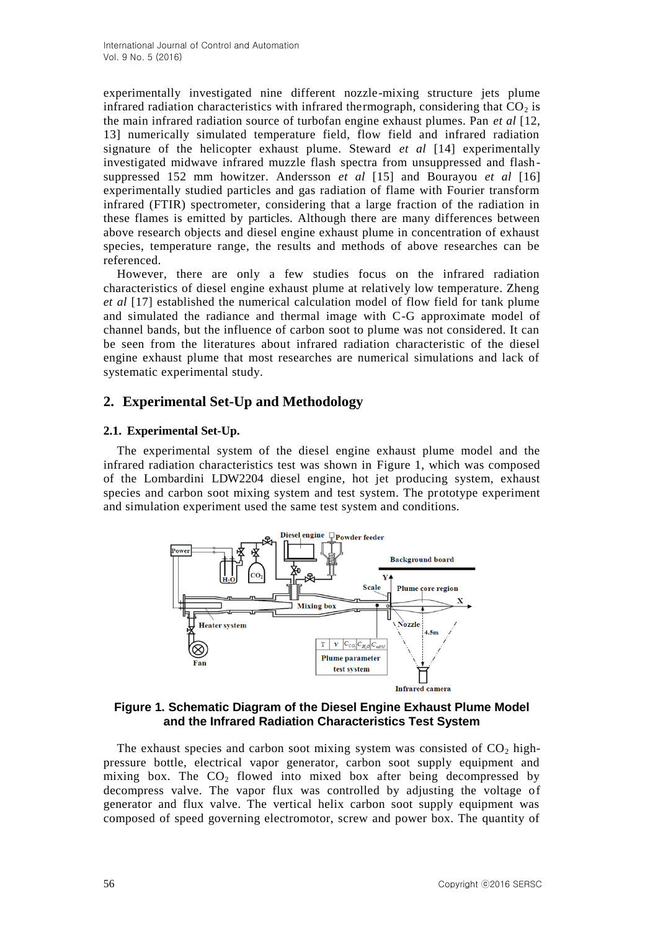experimentally investigated nine different nozzle-mixing structure jets plume infrared radiation characteristics with infrared thermograph, considering that  $CO<sub>2</sub>$  is the main infrared radiation source of turbofan engine exhaust plumes. Pan *et al* [12, 13] numerically simulated temperature field, flow field and infrared radiation signature of the helicopter exhaust plume. Steward *et al* [14] experimentally investigated midwave infrared muzzle flash spectra from unsuppressed and flashsuppressed 152 mm howitzer. Andersson *et al* [15] and Bourayou *et al* [16] experimentally studied particles and gas radiation of flame with Fourier transform infrared (FTIR) spectrometer, considering that a large fraction of the radiation in these flames is emitted by particles. Although there are many differences between above research objects and diesel engine exhaust plume in concentration of exhaust species, temperature range, the results and methods of above researches can be referenced.

However, there are only a few studies focus on the infrared radiation characteristics of diesel engine exhaust plume at relatively low temperature. Zheng *et al* [17] established the numerical calculation model of flow field for tank plume and simulated the radiance and thermal image with C-G approximate model of channel bands, but the influence of carbon soot to plume was not considered. It can be seen from the literatures about infrared radiation characteristic of the diesel engine exhaust plume that most researches are numerical simulations and lack of systematic experimental study.

# **2. Experimental Set-Up and Methodology**

# **2.1. Experimental Set-Up.**

The experimental system of the diesel engine exhaust plume model and the infrared radiation characteristics test was shown in Figure 1, which was composed of the Lombardini LDW2204 diesel engine, hot jet producing system, exhaust species and carbon soot mixing system and test system. The prototype experiment and simulation experiment used the same test system and conditions.



**Figure 1. Schematic Diagram of the Diesel Engine Exhaust Plume Model and the Infrared Radiation Characteristics Test System**

The exhaust species and carbon soot mixing system was consisted of  $CO<sub>2</sub>$  highpressure bottle, electrical vapor generator, carbon soot supply equipment and mixing box. The  $CO<sub>2</sub>$  flowed into mixed box after being decompressed by decompress valve. The vapor flux was controlled by adjusting the voltage of generator and flux valve. The vertical helix carbon soot supply equipment was composed of speed governing electromotor, screw and power box. The quantity of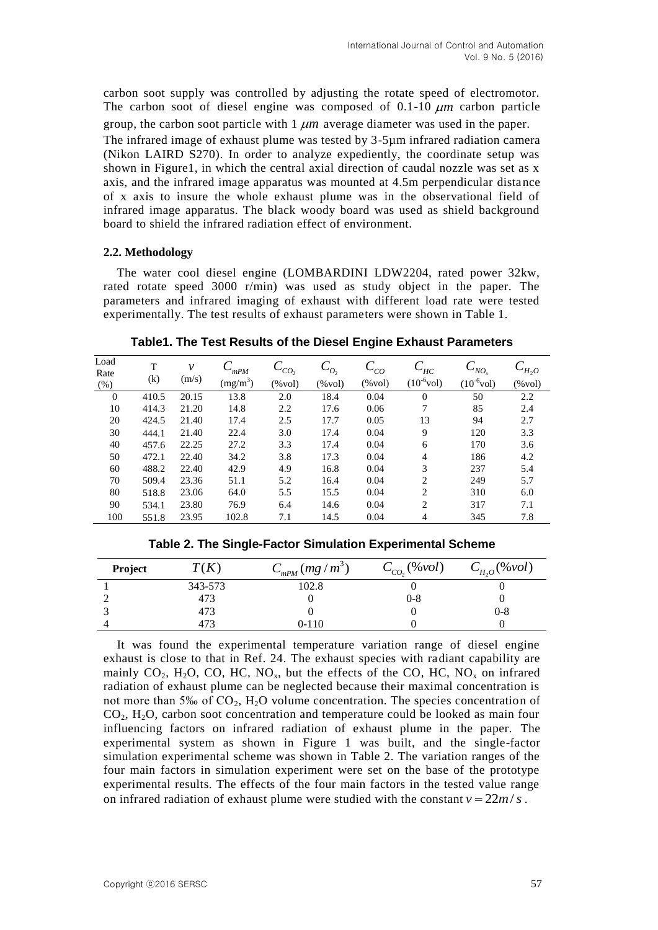carbon soot supply was controlled by adjusting the rotate speed of electromotor. The carbon soot of diesel engine was composed of  $0.1$ -10  $\mu$ m carbon particle group, the carbon soot particle with  $1 \mu m$  average diameter was used in the paper. The infrared image of exhaust plume was tested by 3-5µm infrared radiation camera (Nikon LAIRD S270). In order to analyze expediently, the coordinate setup was shown in Figure1, in which the central axial direction of caudal nozzle was set as x axis, and the infrared image apparatus was mounted at 4.5m perpendicular distance of x axis to insure the whole exhaust plume was in the observational field of infrared image apparatus. The black woody board was used as shield background board to shield the infrared radiation effect of environment.

# **2.2. Methodology**

The water cool diesel engine (LOMBARDINI LDW2204, rated power 32kw, rated rotate speed 3000 r/min) was used as study object in the paper. The parameters and infrared imaging of exhaust with different load rate were tested experimentally. The test results of exhaust parameters were shown in Table 1.

| Load<br>Rate | T     | $\mathcal V$ | $C_{mPM}$  | $-c_{CO}$         | $\mathcal{L}_{O_2}$ | $C_{CO}$          | $C^{}_{\scriptscriptstyle H C}$ | $C_{NO_x}$      | $C_{H_2O}$        |
|--------------|-------|--------------|------------|-------------------|---------------------|-------------------|---------------------------------|-----------------|-------------------|
| (% )         | (k)   | (m/s)        | $(mg/m^3)$ | $(\% \text{vol})$ | $(\% \text{vol})$   | $(\% \text{vol})$ | $(10^{-6}$ vol)                 | $(10^{-6}$ vol) | $(\% \text{vol})$ |
| $\theta$     | 410.5 | 20.15        | 13.8       | 2.0               | 18.4                | 0.04              | $\overline{0}$                  | 50              | 2.2               |
| 10           | 414.3 | 21.20        | 14.8       | 2.2               | 17.6                | 0.06              | 7                               | 85              | 2.4               |
| 20           | 424.5 | 21.40        | 17.4       | 2.5               | 17.7                | 0.05              | 13                              | 94              | 2.7               |
| 30           | 444.1 | 21.40        | 22.4       | 3.0               | 17.4                | 0.04              | 9                               | 120             | 3.3               |
| 40           | 457.6 | 22.25        | 27.2       | 3.3               | 17.4                | 0.04              | 6                               | 170             | 3.6               |
| 50           | 472.1 | 22.40        | 34.2       | 3.8               | 17.3                | 0.04              | $\overline{4}$                  | 186             | 4.2               |
| 60           | 488.2 | 22.40        | 42.9       | 4.9               | 16.8                | 0.04              | 3                               | 237             | 5.4               |
| 70           | 509.4 | 23.36        | 51.1       | 5.2               | 16.4                | 0.04              | $\overline{2}$                  | 249             | 5.7               |
| 80           | 518.8 | 23.06        | 64.0       | 5.5               | 15.5                | 0.04              | $\overline{2}$                  | 310             | 6.0               |
| 90           | 534.1 | 23.80        | 76.9       | 6.4               | 14.6                | 0.04              | $\overline{c}$                  | 317             | 7.1               |
| 100          | 551.8 | 23.95        | 102.8      | 7.1               | 14.5                | 0.04              | 4                               | 345             | 7.8               |

**Table1. The Test Results of the Diesel Engine Exhaust Parameters**

| Project | T(K)    | $C_{mPM}$ (mg / $m^3$ ) | $C_{CO}$ (%vol) | $C_{H_2O}$ (%vol) |
|---------|---------|-------------------------|-----------------|-------------------|
|         | 343-573 | 102.8                   |                 |                   |
|         | 473     |                         | $0 - 8$         |                   |
|         | 473     |                         |                 | $0 - 8$           |
|         | 473     | $0 - 110$               |                 |                   |

**Table 2. The Single-Factor Simulation Experimental Scheme**

It was found the experimental temperature variation range of diesel engine exhaust is close to that in Ref. 24. The exhaust species with radiant capability are mainly  $CO_2$ ,  $H_2O$ ,  $CO$ ,  $HC$ ,  $NO_x$ , but the effects of the  $CO$ ,  $HC$ ,  $NO_x$  on infrared radiation of exhaust plume can be neglected because their maximal concentration is not more than 5‰ of  $CO<sub>2</sub>$ , H<sub>2</sub>O volume concentration. The species concentration of  $CO<sub>2</sub>$ , H<sub>2</sub>O, carbon soot concentration and temperature could be looked as main four influencing factors on infrared radiation of exhaust plume in the paper. The experimental system as shown in Figure 1 was built, and the single-factor simulation experimental scheme was shown in Table 2. The variation ranges of the four main factors in simulation experiment were set on the base of the prototype experimental results. The effects of the four main factors in the tested value range on infrared radiation of exhaust plume were studied with the constant  $v = 22m/s$ .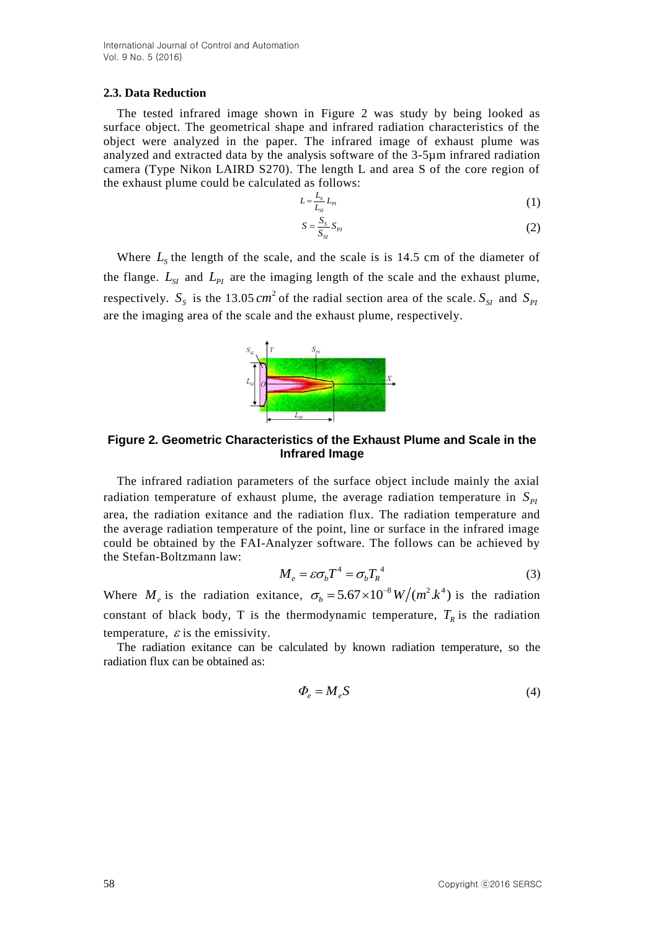#### **2.3. Data Reduction**

The tested infrared image shown in Figure 2 was study by being looked as surface object. The geometrical shape and infrared radiation characteristics of the object were analyzed in the paper. The infrared image of exhaust plume was analyzed and extracted data by the analysis software of the 3-5µm infrared radiation camera (Type Nikon LAIRD S270). The length L and area S of the core region of the exhaust plume could be calculated as follows:

$$
L = \frac{L_s}{L_{SI}} L_{Pl} \tag{1}
$$

$$
S = \frac{S_s}{S_{SI}} S_{PI} \tag{2}
$$

Where  $L<sub>s</sub>$  the length of the scale, and the scale is is 14.5 cm of the diameter of the flange.  $L_{SI}$  and  $L_{PI}$  are the imaging length of the scale and the exhaust plume, respectively.  $S_s$  is the 13.05  $cm^2$  of the radial section area of the scale.  $S_{SI}$  and  $S_{PI}$ are the imaging area of the scale and the exhaust plume, respectively.



**Figure 2. Geometric Characteristics of the Exhaust Plume and Scale in the Infrared Image**

The infrared radiation parameters of the surface object include mainly the axial radiation temperature of exhaust plume, the average radiation temperature in  $S_{pi}$ area, the radiation exitance and the radiation flux. The radiation temperature and the average radiation temperature of the point, line or surface in the infrared image could be obtained by the FAI-Analyzer software. The follows can be achieved by the Stefan-Boltzmann law:

$$
M_e = \varepsilon \sigma_b T^4 = \sigma_b T_R^4 \tag{3}
$$

Where  $M_e$  is the radiation exitance,  $\sigma_b = 5.67 \times 10^{-8} W/(m^2 \cdot k^4)$  is the radiation constant of black body, T is the thermodynamic temperature,  $T_R$  is the radiation temperature,  $\varepsilon$  is the emissivity.

The radiation exitance can be calculated by known radiation temperature, so the radiation flux can be obtained as:

$$
\Phi_e = M_e S \tag{4}
$$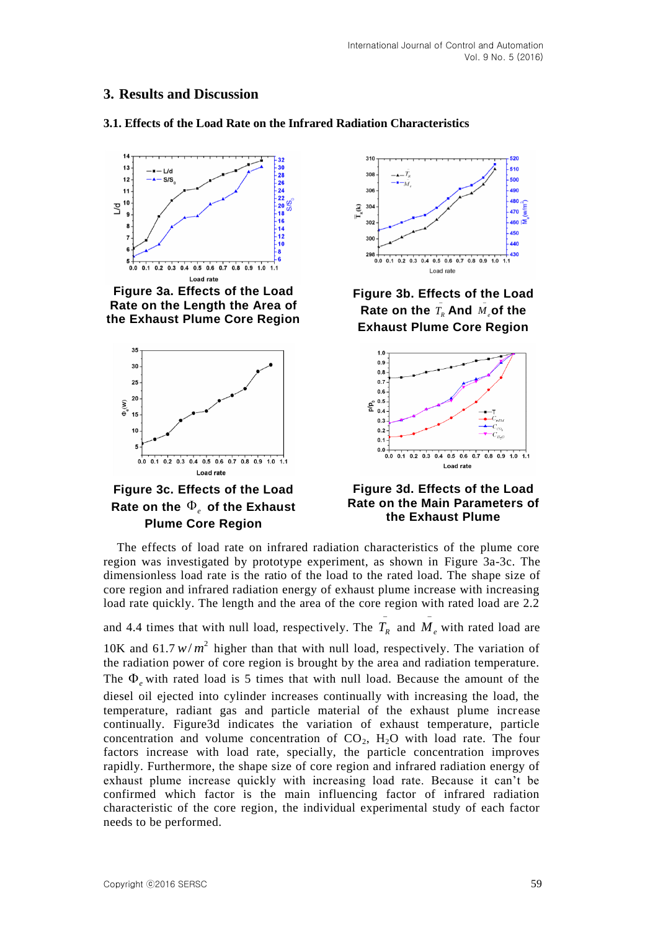# **3. Results and Discussion**

# **3.1. Effects of the Load Rate on the Infrared Radiation Characteristics**



**Figure 3a. Effects of the Load Rate on the Length the Area of the Exhaust Plume Core Region**







**Figure 3b. Effects of the Load Rate on the**  $\overline{T}_R$  **And**  $\overline{M}_e$  $\bar{M}_{e}$ of the **Exhaust Plume Core Region**



#### **Figure 3d. Effects of the Load Rate on the Main Parameters of the Exhaust Plume**

The effects of load rate on infrared radiation characteristics of the plume core region was investigated by prototype experiment, as shown in Figure 3a-3c. The dimensionless load rate is the ratio of the load to the rated load. The shape size of core region and infrared radiation energy of exhaust plume increase with increasing load rate quickly. The length and the area of the core region with rated load are 2.2

and 4.4 times that with null load, respectively. The  $\overline{T}_R$  and  $\overline{M}_e$  $\overline{M}_{e}$  with rated load are

10K and  $61.7 \frac{w}{m^2}$  higher than that with null load, respectively. The variation of the radiation power of core region is brought by the area and radiation temperature. The  $\Phi$ <sub>e</sub> with rated load is 5 times that with null load. Because the amount of the diesel oil ejected into cylinder increases continually with increasing the load, the temperature, radiant gas and particle material of the exhaust plume increase continually. Figure3d indicates the variation of exhaust temperature, particle concentration and volume concentration of  $CO<sub>2</sub>$ ,  $H<sub>2</sub>O$  with load rate. The four factors increase with load rate, specially, the particle concentration improves rapidly. Furthermore, the shape size of core region and infrared radiation energy of exhaust plume increase quickly with increasing load rate. Because it can't be confirmed which factor is the main influencing factor of infrared radiation characteristic of the core region, the individual experimental study of each factor needs to be performed.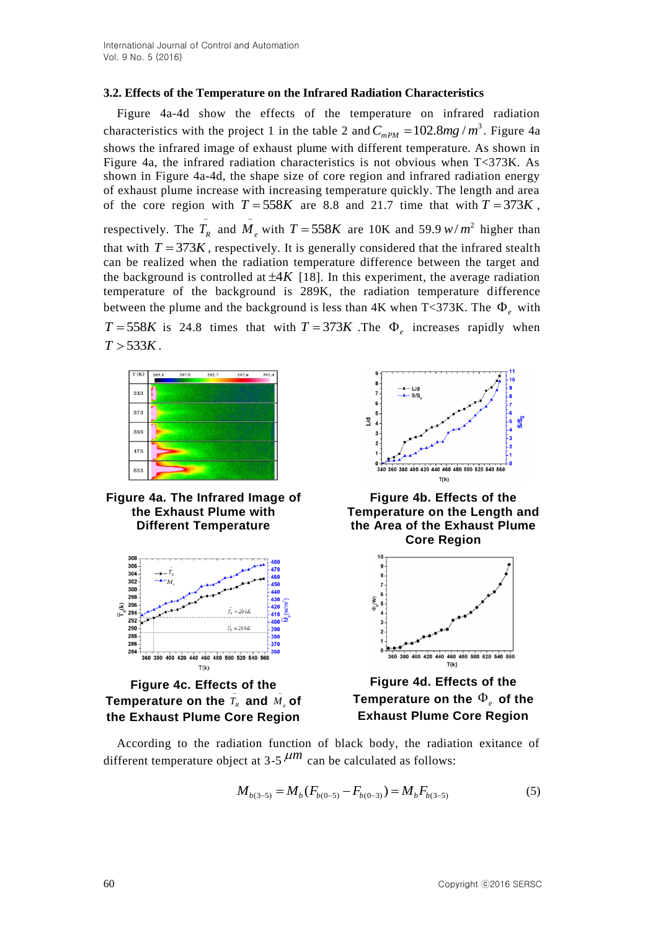# **3.2. Effects of the Temperature on the Infrared Radiation Characteristics**

Figure 4a-4d show the effects of the temperature on infrared radiation characteristics with the project 1 in the table 2 and  $C_{mPM} = 102.8mg/m^3$ . Figure 4a shows the infrared image of exhaust plume with different temperature. As shown in Figure 4a, the infrared radiation characteristics is not obvious when T<373K. As shown in Figure 4a-4d, the shape size of core region and infrared radiation energy of exhaust plume increase with increasing temperature quickly. The length and area of the core region with  $T = 558K$  are 8.8 and 21.7 time that with  $T = 373K$ , respectively. The  $\overline{T}_R$  and  $\overline{M}_e$  $\overline{I}_e$  with  $T = 558K$  are 10K and 59.9  $w/m^2$  higher than that with  $T = 373K$ , respectively. It is generally considered that the infrared stealth can be realized when the radiation temperature difference between the target and the background is controlled at  $\pm 4K$  [18]. In this experiment, the average radiation temperature of the background is 289K, the radiation temperature difference between the plume and the background is less than  $4K$  when  $T < 373K$ . The  $\Phi_e$  with  $T = 558K$  is 24.8 times that with  $T = 373K$ . The  $\Phi_e$  increases rapidly when  $T > 533K$ .







**Figure 4c. Effects of the Temperature on the**  $\overline{T}_R$  **and**  $\overline{M}_e$  $\bar{\bar{I}}_e$  of **the Exhaust Plume Core Region**



**Figure 4b. Effects of the Temperature on the Length and the Area of the Exhaust Plume Core Region**



**Figure 4d. Effects of the**  Temperature on the  $\Phi_{e}$  of the **Exhaust Plume Core Region**

According to the radiation function of black body, the radiation exitance of different temperature object at  $3-5$   $\mu$ <sup>m</sup> can be calculated as follows:

$$
M_{b(3-5)} = M_b(F_{b(0-5)} - F_{b(0-3)}) = M_b F_{b(3-5)}
$$
(5)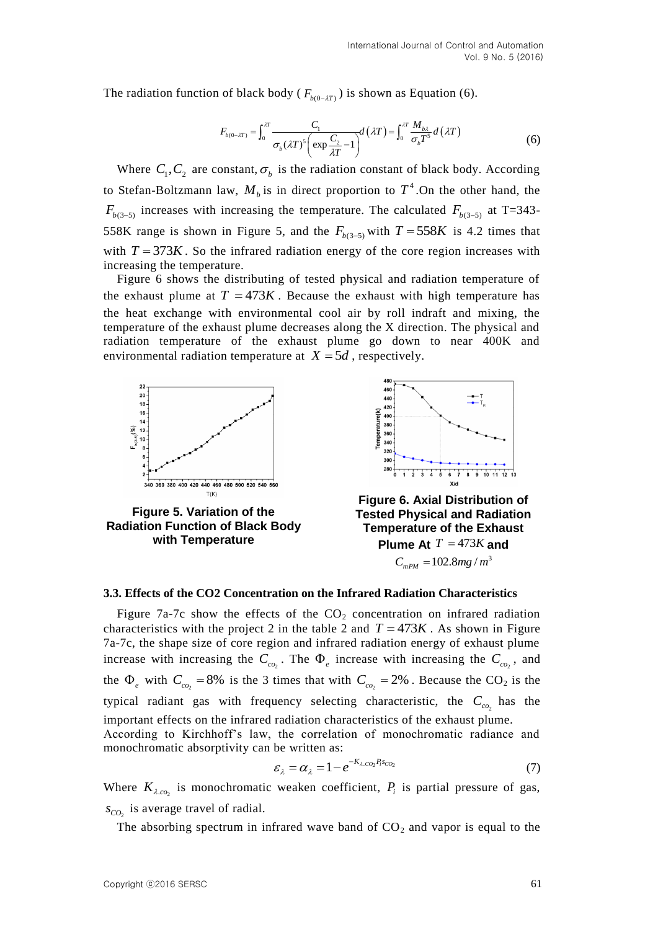The radiation function of black body (
$$
F_{b(0-2T)}
$$
) is shown as Equation (6).  
\n
$$
F_{b(0-2T)} = \int_0^{2T} \frac{C_1}{\sigma_b(\lambda T)^5 \left(\exp{\frac{C_2}{\lambda T}} - 1\right)} d(\lambda T) = \int_0^{2T} \frac{M_{b\lambda}}{\sigma_b T^5} d(\lambda T)
$$
\n(6)

Where  $C_1, C_2$  are constant,  $\sigma_b$  is the radiation constant of black body. According to Stefan-Boltzmann law,  $M_b$  is in direct proportion to  $T^4$ . On the other hand, the  $F$ <sup>*b*(3-5)</sup> increases with increasing the temperature. The calculated  $F$ <sup>*b*</sup>(3-5)</sub> at T=343-558K range is shown in Figure 5, and the  $F_{b(3-5)}$  with  $T = 558K$  is 4.2 times that with  $T = 373K$ . So the infrared radiation energy of the core region increases with increasing the temperature.

Figure 6 shows the distributing of tested physical and radiation temperature of the exhaust plume at  $T = 473K$ . Because the exhaust with high temperature has the heat exchange with environmental cool air by roll indraft and mixing, the temperature of the exhaust plume decreases along the X direction. The physical and radiation temperature of the exhaust plume go down to near 400K and environmental radiation temperature at  $X = 5d$ , respectively.



**Figure 5. Variation of the Radiation Function of Black Body with Temperature**



**Figure 6. Axial Distribution of Tested Physical and Radiation Temperature of the Exhaust Plume At**  $T = 473K$  and  $C_{mPM} = 102.8 mg/m^3$ 

#### **3.3. Effects of the CO2 Concentration on the Infrared Radiation Characteristics**

Figure 7a-7c show the effects of the  $CO<sub>2</sub>$  concentration on infrared radiation characteristics with the project 2 in the table 2 and  $T = 473K$ . As shown in Figure 7a-7c, the shape size of core region and infrared radiation energy of exhaust plume increase with increasing the  $C_{c_0}$ . The  $\Phi_e$  increase with increasing the  $C_{c_0}$ , and the  $\Phi$ <sub>e</sub> with  $C_{c0_2} = 8\%$  is the 3 times that with  $C_{c0_2} = 2\%$ . Because the CO<sub>2</sub> is the typical radiant gas with frequency selecting characteristic, the  $C_{c_0}$  has the important effects on the infrared radiation characteristics of the exhaust plume. According to Kirchhoff's law, the correlation of monochromatic radiance and monochromatic absorptivity can be written as:

$$
\varepsilon_{\lambda} = \alpha_{\lambda} = 1 - e^{-K_{\lambda \cdot CO_2} P_i s_{CO_2}} \tag{7}
$$

Where  $K_{\lambda,c_0}$  is monochromatic weaken coefficient,  $P_i$  is partial pressure of gas,  $s_{CO_2}$  is average travel of radial.

The absorbing spectrum in infrared wave band of  $CO<sub>2</sub>$  and vapor is equal to the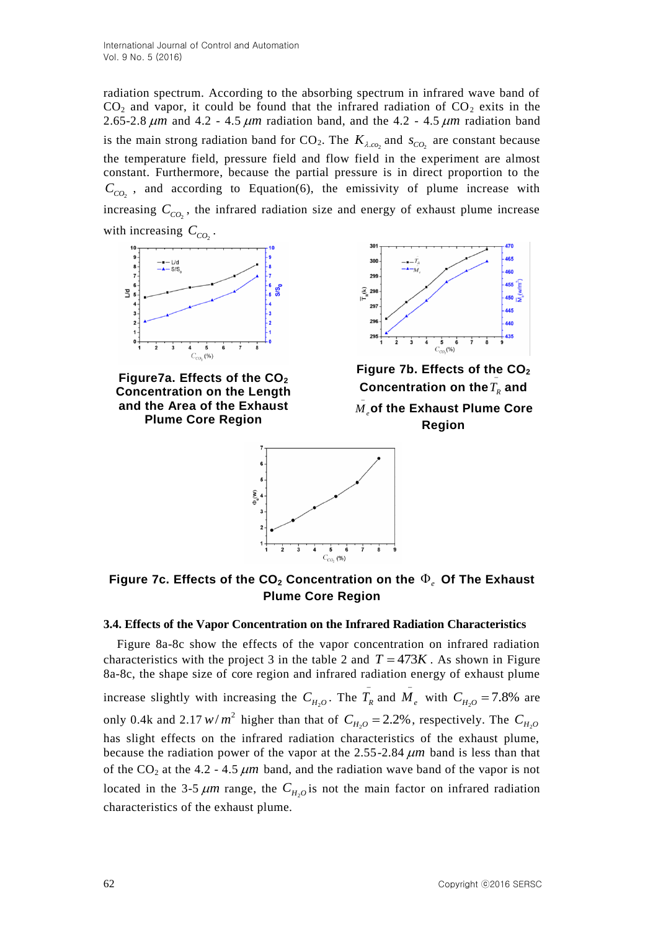radiation spectrum. According to the absorbing spectrum in infrared wave band of  $CO<sub>2</sub>$  and vapor, it could be found that the infrared radiation of  $CO<sub>2</sub>$  exits in the 2.65-2.8  $\mu$ m and 4.2 - 4.5  $\mu$ m radiation band, and the 4.2 - 4.5  $\mu$ m radiation band is the main strong radiation band for  $CO_2$ . The  $K_{\lambda, c_0}$  and  $s_{CO_2}$  are constant because the temperature field, pressure field and flow field in the experiment are almost constant. Furthermore, because the partial pressure is in direct proportion to the  $C_{CO_2}$ , and according to Equation(6), the emissivity of plume increase with increasing  $C_{CO_2}$ , the infrared radiation size and energy of exhaust plume increase with increasing  $C_{CO_2}$ .



**Figure7a. Effects of the CO<sup>2</sup> Concentration on the Length and the Area of the Exhaust Plume Core Region**



**Figure 7b. Effects of the CO<sup>2</sup>** Concentration on the $T_{\scriptscriptstyle R}$  and *M e* **of the Exhaust Plume Core Region**



Figure 7c. Effects of the CO<sub>2</sub> Concentration on the  $\Phi_e$  Of The Exhaust **Plume Core Region**

## **3.4. Effects of the Vapor Concentration on the Infrared Radiation Characteristics**

Figure 8a-8c show the effects of the vapor concentration on infrared radiation characteristics with the project 3 in the table 2 and  $T = 473K$ . As shown in Figure 8a-8c, the shape size of core region and infrared radiation energy of exhaust plume increase slightly with increasing the  $C_{H_2O}$ . The  $\overline{T}_R$  and  $\overline{M}_e$  $\overline{A}_e$  with  $C_{H_2O} = 7.8\%$  are only 0.4k and 2.17  $w/m^2$  higher than that of  $C_{H_2O} = 2.2\%$ , respectively. The  $C_{H_2O}$ has slight effects on the infrared radiation characteristics of the exhaust plume, because the radiation power of the vapor at the  $2.55$ -2.84  $\mu$ m band is less than that of the  $CO_2$  at the 4.2 - 4.5  $\mu$ m band, and the radiation wave band of the vapor is not located in the 3-5  $\mu$ m range, the  $C_{H_2O}$  is not the main factor on infrared radiation characteristics of the exhaust plume.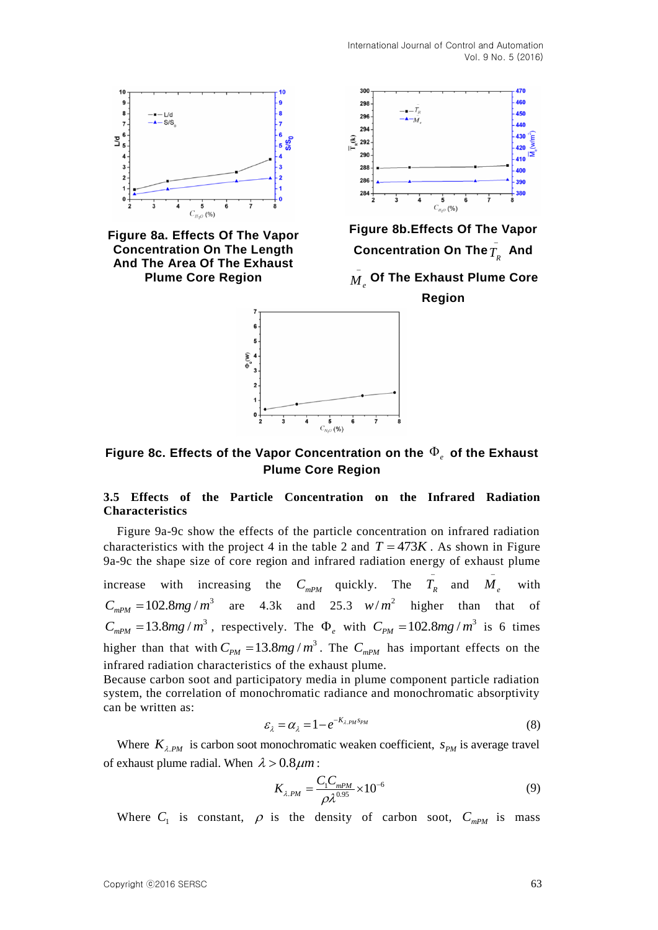

Figure 8c. Effects of the Vapor Concentration on the  $\Phi_e$  of the Exhaust **Plume Core Region**

## **3.5 Effects of the Particle Concentration on the Infrared Radiation Characteristics**

Figure 9a-9c show the effects of the particle concentration on infrared radiation characteristics with the project 4 in the table 2 and  $T = 473K$ . As shown in Figure 9a-9c the shape size of core region and infrared radiation energy of exhaust plume

increase with increasing the  $C_{mPM}$  quickly. The  $\overline{T_R}$  and  $\overline{M}_e$ i, with  $C_{mPM} = 102.8mg/m^3$  are 4.3k and 25.3  $w/m^2$  higher than that of  $C_{mPM} = 13.8 mg/m^3$ , respectively. The  $\Phi_e$  with  $C_{PM} = 102.8 mg/m^3$  is 6 times higher than that with  $C_{PM} = 13.8mg/m^3$ . The  $C_{mPM}$  has important effects on the infrared radiation characteristics of the exhaust plume.

Because carbon soot and participatory media in plume component particle radiation system, the correlation of monochromatic radiance and monochromatic absorptivity can be written as:

$$
\varepsilon_{\lambda} = \alpha_{\lambda} = 1 - e^{-K_{\lambda.PM} s_{PM}}
$$
\n(8)

Where  $K_{\lambda,PM}$  is carbon soot monochromatic weaken coefficient,  $S_{PM}$  is average travel of exhaust plume radial. When  $\lambda > 0.8 \mu m$ :

$$
K_{\lambda.PM} = \frac{C_1 C_{mPM}}{\rho \lambda^{0.95}} \times 10^{-6}
$$
 (9)

Where  $C_1$  is constant,  $\rho$  is the density of carbon soot,  $C_{mPM}$  is mass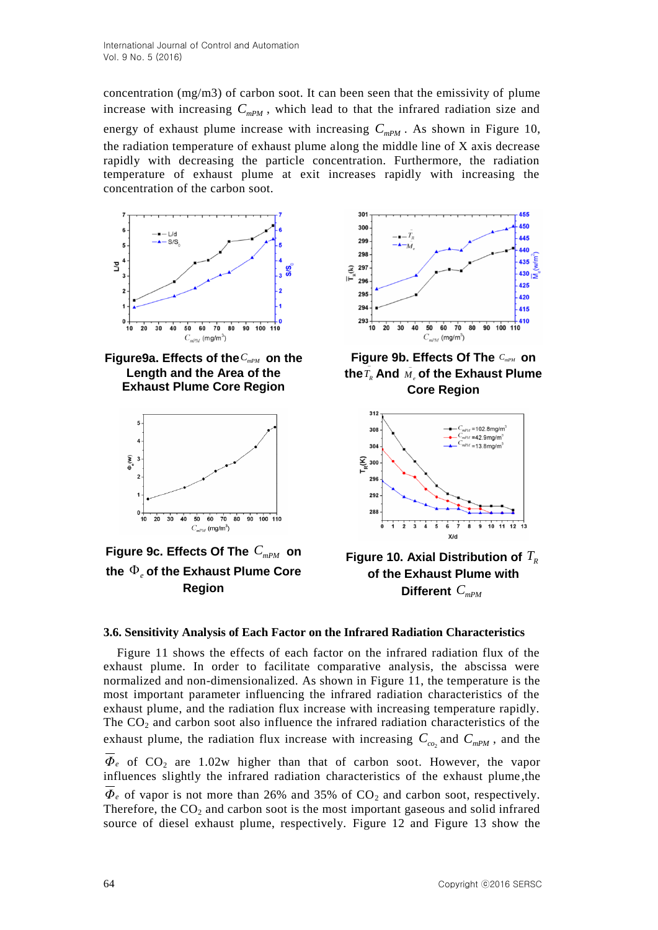concentration (mg/m3) of carbon soot. It can been seen that the emissivity of plume increase with increasing  $C_{mPM}$ , which lead to that the infrared radiation size and energy of exhaust plume increase with increasing  $C_{mPM}$ . As shown in Figure 10, the radiation temperature of exhaust plume along the middle line of X axis decrease rapidly with decreasing the particle concentration. Furthermore, the radiation temperature of exhaust plume at exit increases rapidly with increasing the concentration of the carbon soot.



Figure9a. Effects of the  $C_{mPM}$  on the **Length and the Area of the Exhaust Plume Core Region**



Figure 9c. Effects Of The  $C_{mPM}$  on the  $\Phi_{e}$  of the Exhaust Plume Core **Region** 



Figure 9b. Effects Of The  $C_{mPM}$  on the  $\overline{T}_R$  And  $\overline{M}_e$  **of the Exhaust Plume Core Region**



**Figure 10. Axial Distribution of**  *TR* **of the Exhaust Plume with Different**  *CmPM*

# **3.6. Sensitivity Analysis of Each Factor on the Infrared Radiation Characteristics**

Figure 11 shows the effects of each factor on the infrared radiation flux of the exhaust plume. In order to facilitate comparative analysis, the abscissa were normalized and non-dimensionalized. As shown in Figure 11, the temperature is the most important parameter influencing the infrared radiation characteristics of the exhaust plume, and the radiation flux increase with increasing temperature rapidly. The  $CO<sub>2</sub>$  and carbon soot also influence the infrared radiation characteristics of the exhaust plume, the radiation flux increase with increasing  $C_{c_0}$  and  $C_{mPM}$ , and the  $Φ<sub>e</sub>$  of CO<sub>2</sub> are 1.02w higher than that of carbon soot. However, the vapor influences slightly the infrared radiation characteristics of the exhaust plume ,the  $\Phi$ *e* of vapor is not more than 26% and 35% of  $CO_2$  and carbon soot, respectively. Therefore, the  $CO<sub>2</sub>$  and carbon soot is the most important gaseous and solid infrared source of diesel exhaust plume, respectively. Figure 12 and Figure 13 show the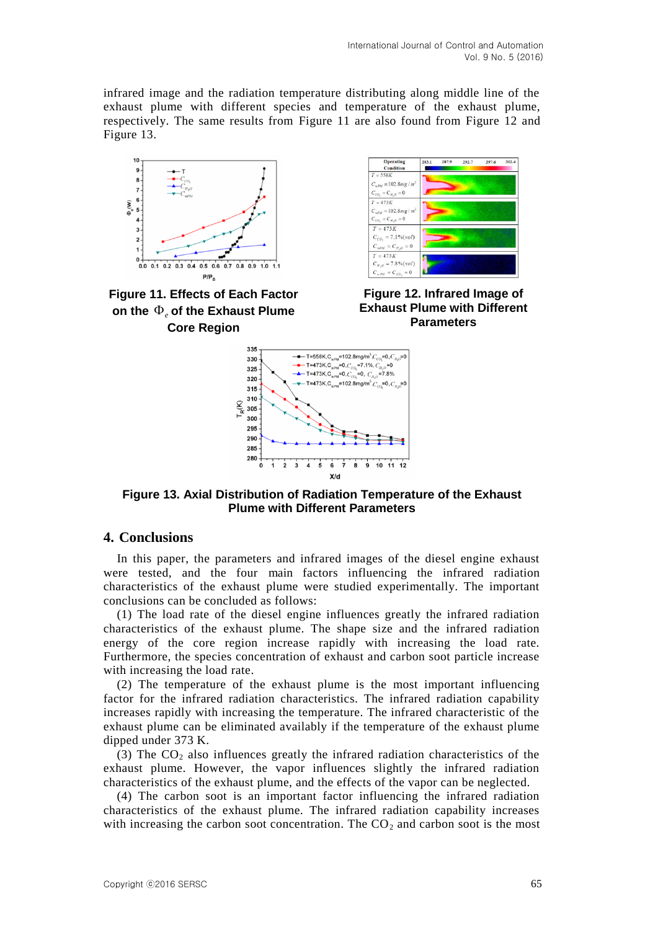infrared image and the radiation temperature distributing along middle line of the exhaust plume with different species and temperature of the exhaust plume, respectively. The same results from Figure 11 are also found from Figure 12 and Figure 13.



**Figure 11. Effects of Each Factor**  on the  $\Phi_e$  of the Exhaust Plume **Core Region**



**Figure 12. Infrared Image of Exhaust Plume with Different Parameters**



**Figure 13. Axial Distribution of Radiation Temperature of the Exhaust Plume with Different Parameters**

## **4. Conclusions**

In this paper, the parameters and infrared images of the diesel engine exhaust were tested, and the four main factors influencing the infrared radiation characteristics of the exhaust plume were studied experimentally. The important conclusions can be concluded as follows:

(1) The load rate of the diesel engine influences greatly the infrared radiation characteristics of the exhaust plume. The shape size and the infrared radiation energy of the core region increase rapidly with increasing the load rate. Furthermore, the species concentration of exhaust and carbon soot particle increase with increasing the load rate.

(2) The temperature of the exhaust plume is the most important influencing factor for the infrared radiation characteristics. The infrared radiation capability increases rapidly with increasing the temperature. The infrared characteristic of the exhaust plume can be eliminated availably if the temperature of the exhaust plume dipped under 373 K.

(3) The  $CO<sub>2</sub>$  also influences greatly the infrared radiation characteristics of the exhaust plume. However, the vapor influences slightly the infrared radiation characteristics of the exhaust plume, and the effects of the vapor can be neglected.

(4) The carbon soot is an important factor influencing the infrared radiation characteristics of the exhaust plume. The infrared radiation capability increases with increasing the carbon soot concentration. The  $CO<sub>2</sub>$  and carbon soot is the most